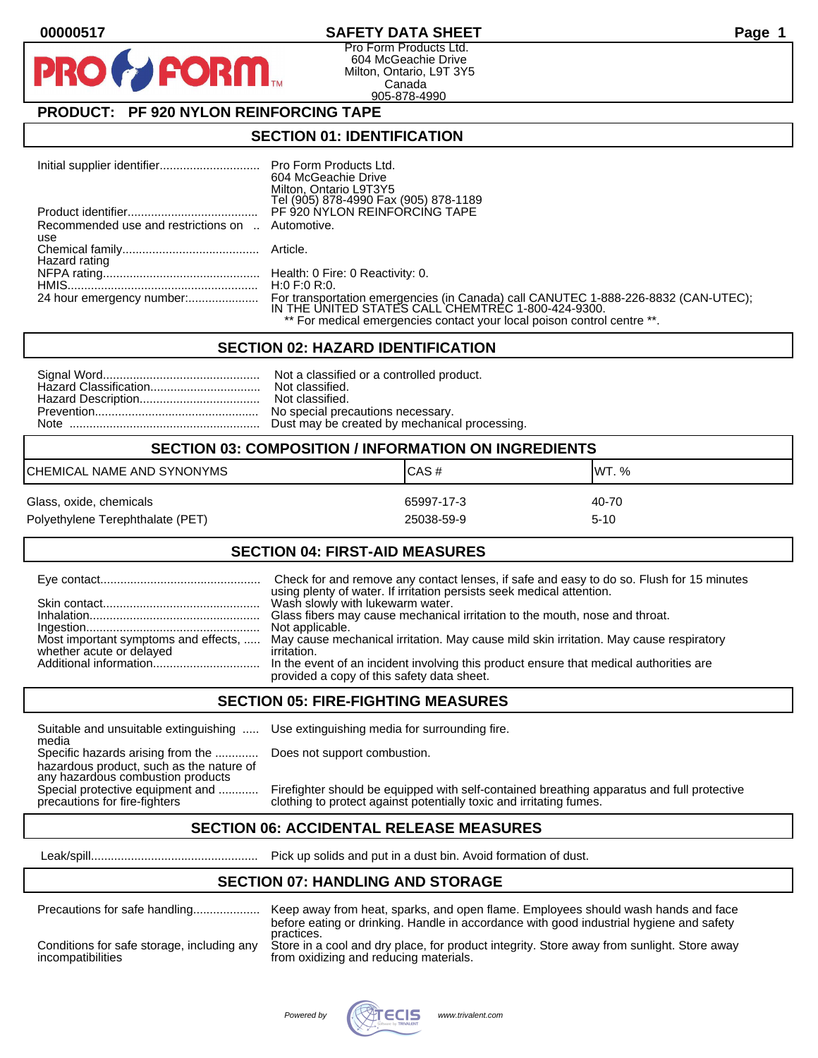# **00000517 SAFETY DATA SHEET Page 1**

Pro Form Products Ltd. 604 McGeachie Drive Milton, Ontario, L9T 3Y5 Canada 905-878-4990

# **PRODUCT: PF 920 NYLON REINFORCING TAPE**

**FORM** 

### **SECTION 01: IDENTIFICATION**

|                                     | Pro Form Products Ltd.                                                                                                                   |
|-------------------------------------|------------------------------------------------------------------------------------------------------------------------------------------|
|                                     | 604 McGeachie Drive                                                                                                                      |
|                                     | Milton, Ontario L9T3Y5                                                                                                                   |
|                                     | Tel (905) 878-4990 Fax (905) 878-1189                                                                                                    |
|                                     | PF 920 NYLON REINFORCING TAPE                                                                                                            |
| Recommended use and restrictions on | Automotive.                                                                                                                              |
| use                                 |                                                                                                                                          |
|                                     |                                                                                                                                          |
| Hazard rating                       |                                                                                                                                          |
|                                     |                                                                                                                                          |
|                                     | H:0 F:0 R:0.                                                                                                                             |
|                                     | For transportation emergencies (in Canada) call CANUTEC 1-888-226-8832 (CAN-UTEC);<br>IN THE UNITED STATES CALL CHEMTREC 1-800-424-9300. |
|                                     |                                                                                                                                          |
|                                     | ** For medical emergencies contact your local poison control centre **.                                                                  |

#### **SECTION 02: HAZARD IDENTIFICATION**

|--|--|

| <b>SECTION 03: COMPOSITION / INFORMATION ON INGREDIENTS</b> |            |          |
|-------------------------------------------------------------|------------|----------|
| CHEMICAL NAME AND SYNONYMS                                  | ICAS#      | IWT. %   |
| Glass, oxide, chemicals                                     | 65997-17-3 | 40-70    |
| Polyethylene Terephthalate (PET)                            | 25038-59-9 | $5 - 10$ |

#### **SECTION 04: FIRST-AID MEASURES**

|                          | Check for and remove any contact lenses, if safe and easy to do so. Flush for 15 minutes                                                    |
|--------------------------|---------------------------------------------------------------------------------------------------------------------------------------------|
|                          | using plenty of water. If irritation persists seek medical attention.<br>Wash slowly with lukewarm water.                                   |
|                          | Glass fibers may cause mechanical irritation to the mouth, nose and throat.                                                                 |
|                          | Not applicable.                                                                                                                             |
| whether acute or delayed | Most important symptoms and effects,  May cause mechanical irritation. May cause mild skin irritation. May cause respiratory<br>irritation. |
|                          | provided a copy of this safety data sheet.                                                                                                  |

## **SECTION 05: FIRE-FIGHTING MEASURES**

media

Specific hazards arising from the ............. Does not support combustion. hazardous product, such as the nature of any hazardous combustion products<br>Special protective equipment and ............

Suitable and unsuitable extinguishing ..... Use extinguishing media for surrounding fire.

Special protective equipment and ............ Firefighter should be equipped with self-contained breathing apparatus and full protective precautions for fire-fighters clothing to protect against potentially toxic and irrit clothing to protect against potentially toxic and irritating fumes.

## **SECTION 06: ACCIDENTAL RELEASE MEASURES**

Leak/spill.................................................. Pick up solids and put in a dust bin. Avoid formation of dust.

#### **SECTION 07: HANDLING AND STORAGE**

| Precautions for safe handling              | Keep away from heat, sparks, and open flame. Employees should wash hands and face<br>before eating or drinking. Handle in accordance with good industrial hygiene and safety<br>practices. |
|--------------------------------------------|--------------------------------------------------------------------------------------------------------------------------------------------------------------------------------------------|
| Conditions for safe storage, including any | Store in a cool and dry place, for product integrity. Store away from sunlight. Store away                                                                                                 |
| incompatibilities                          | from oxidizing and reducing materials.                                                                                                                                                     |

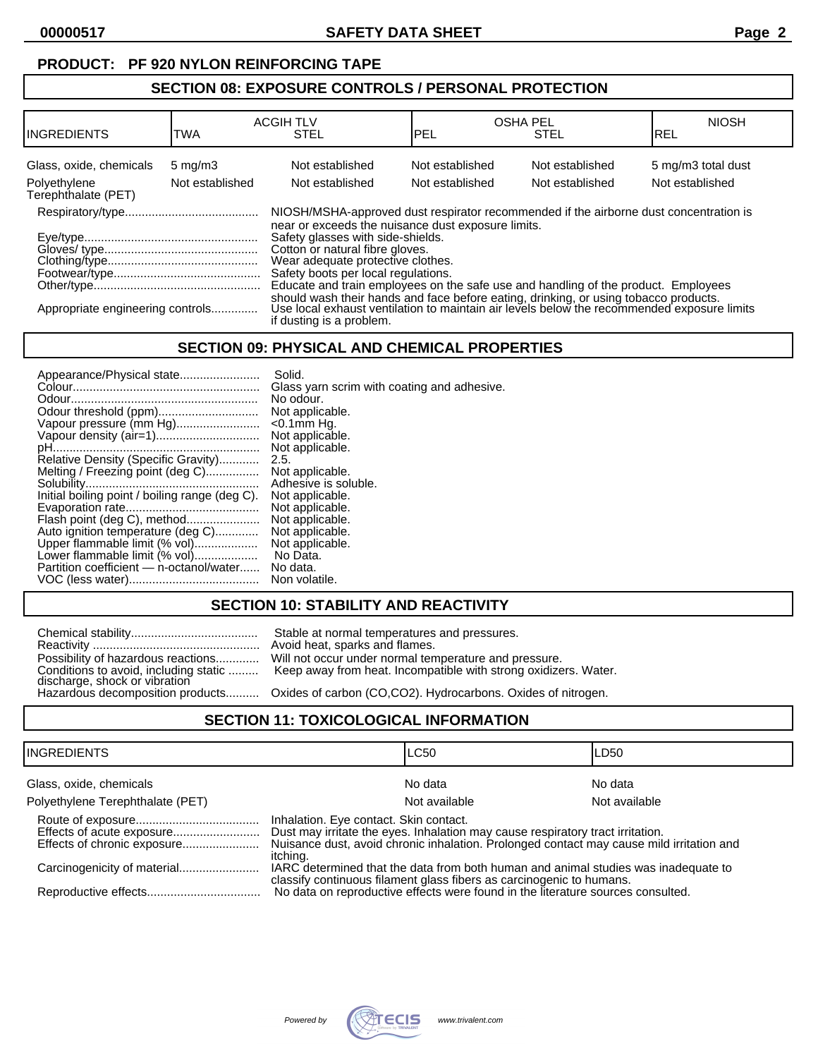### **PRODUCT: PF 920 NYLON REINFORCING TAPE**

# **SECTION 08: EXPOSURE CONTROLS / PERSONAL PROTECTION**

| <b>IINGREDIENTS</b>                     | TWA                                 | <b>ACGIH TLV</b><br><b>STEL</b>                                                                                                                                                                                | IPEL                               | <b>OSHA PEL</b><br><b>STEL</b>     | <b>NIOSH</b><br><b>REL</b>            |
|-----------------------------------------|-------------------------------------|----------------------------------------------------------------------------------------------------------------------------------------------------------------------------------------------------------------|------------------------------------|------------------------------------|---------------------------------------|
| Glass, oxide, chemicals<br>Polyethylene | $5 \text{ mg/m}$<br>Not established | Not established<br>Not established                                                                                                                                                                             | Not established<br>Not established | Not established<br>Not established | 5 mg/m3 total dust<br>Not established |
| Terephthalate (PET)                     |                                     |                                                                                                                                                                                                                |                                    |                                    |                                       |
|                                         |                                     | NIOSH/MSHA-approved dust respirator recommended if the airborne dust concentration is<br>near or exceeds the nuisance dust exposure limits.                                                                    |                                    |                                    |                                       |
|                                         |                                     | Safety glasses with side-shields.                                                                                                                                                                              |                                    |                                    |                                       |
|                                         |                                     | Cotton or natural fibre gloves.<br>Wear adequate protective clothes.                                                                                                                                           |                                    |                                    |                                       |
|                                         |                                     | Safety boots per local regulations.                                                                                                                                                                            |                                    |                                    |                                       |
|                                         |                                     | Educate and train employees on the safe use and handling of the product. Employees                                                                                                                             |                                    |                                    |                                       |
| Appropriate engineering controls        |                                     | should wash their hands and face before eating, drinking, or using tobacco products.<br>Use local exhaust ventilation to maintain air levels below the recommended exposure limits<br>if dusting is a problem. |                                    |                                    |                                       |

### **SECTION 09: PHYSICAL AND CHEMICAL PROPERTIES**

| Appearance/Physical state                      | Solid.                                      |
|------------------------------------------------|---------------------------------------------|
|                                                | Glass yarn scrim with coating and adhesive. |
|                                                | No odour.                                   |
|                                                | Not applicable.                             |
| Vapour pressure (mm Hg)                        | $<$ 0.1 $mm$ Hq.                            |
| Vapour density (air=1)                         | Not applicable.                             |
|                                                | Not applicable.                             |
| Relative Density (Specific Gravity)            | 2.5.                                        |
| Melting / Freezing point (deg C)               | Not applicable.                             |
|                                                | Adhesive is soluble.                        |
| Initial boiling point / boiling range (deg C). | Not applicable.                             |
|                                                | Not applicable.                             |
| Flash point (deg C), method                    | Not applicable.                             |
| Auto ignition temperature (deg C)              | Not applicable.                             |
| Upper flammable limit (% vol)                  | Not applicable.                             |
| Lower flammable limit (% vol)                  | No Data.                                    |
| Partition coefficient — n-octanol/water        | No data.                                    |
|                                                | Non volatile.                               |

# **SECTION 10: STABILITY AND REACTIVITY**

Reactivity .................................................. Avoid heat, sparks and flames. discharge, shock or vibration

Chemical stability...................................... Stable at normal temperatures and pressures. Will not occur under normal temperature and pressure. Keep away from heat. Incompatible with strong oxidizers. Water.

Oxides of carbon (CO,CO2). Hydrocarbons. Oxides of nitrogen.

# **SECTION 11: TOXICOLOGICAL INFORMATION**

| IINGREDIENTS                     |                                                                                                                                                                                                                                  | <b>LC50</b>                                                                     | LD50          |
|----------------------------------|----------------------------------------------------------------------------------------------------------------------------------------------------------------------------------------------------------------------------------|---------------------------------------------------------------------------------|---------------|
| Glass, oxide, chemicals          |                                                                                                                                                                                                                                  | No data                                                                         | No data       |
| Polyethylene Terephthalate (PET) |                                                                                                                                                                                                                                  | Not available                                                                   | Not available |
|                                  | Inhalation. Eye contact. Skin contact.<br>Dust may irritate the eyes. Inhalation may cause respiratory tract irritation.<br>Nuisance dust, avoid chronic inhalation. Prolonged contact may cause mild irritation and<br>itching. |                                                                                 |               |
|                                  | IARC determined that the data from both human and animal studies was inadequate to<br>classify continuous filament glass fibers as carcinogenic to humans.                                                                       |                                                                                 |               |
|                                  |                                                                                                                                                                                                                                  | No data on reproductive effects were found in the literature sources consulted. |               |